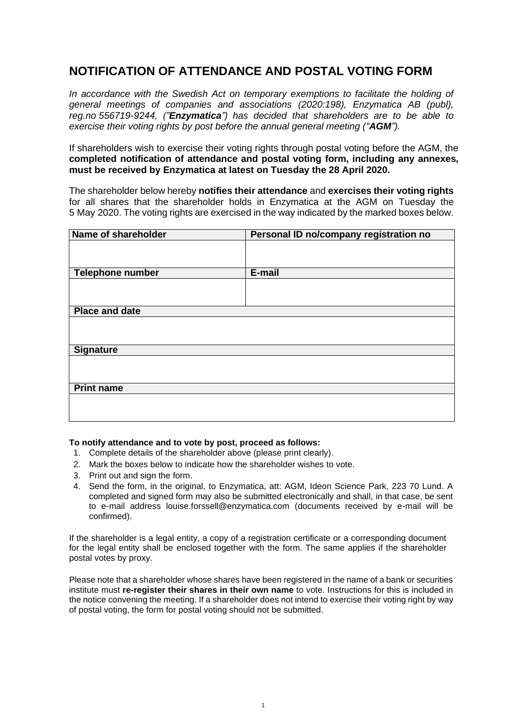## **NOTIFICATION OF ATTENDANCE AND POSTAL VOTING FORM**

In accordance with the Swedish Act on temporary exemptions to facilitate the holding of *general meetings of companies and associations (2020:198), Enzymatica AB (publ), reg.no 556719-9244, ("Enzymatica") has decided that shareholders are to be able to exercise their voting rights by post before the annual general meeting ("AGM").*

If shareholders wish to exercise their voting rights through postal voting before the AGM, the **completed notification of attendance and postal voting form, including any annexes, must be received by Enzymatica at latest on Tuesday the 28 April 2020.**

The shareholder below hereby **notifies their attendance** and **exercises their voting rights** for all shares that the shareholder holds in Enzymatica at the AGM on Tuesday the 5 May 2020. The voting rights are exercised in the way indicated by the marked boxes below.

| Name of shareholder     | Personal ID no/company registration no |
|-------------------------|----------------------------------------|
|                         |                                        |
|                         |                                        |
| <b>Telephone number</b> | E-mail                                 |
|                         |                                        |
|                         |                                        |
| <b>Place and date</b>   |                                        |
|                         |                                        |
|                         |                                        |
| <b>Signature</b>        |                                        |
|                         |                                        |
|                         |                                        |
| <b>Print name</b>       |                                        |
|                         |                                        |
|                         |                                        |

## **To notify attendance and to vote by post, proceed as follows:**

- 1. Complete details of the shareholder above (please print clearly).
- 2. Mark the boxes below to indicate how the shareholder wishes to vote.
- 3. Print out and sign the form.
- 4. Send the form, in the original, to Enzymatica, att: AGM, Ideon Science Park, 223 70 Lund. A completed and signed form may also be submitted electronically and shall, in that case, be sent to e-mail address louise.forssell@enzymatica.com (documents received by e-mail will be confirmed).

If the shareholder is a legal entity, a copy of a registration certificate or a corresponding document for the legal entity shall be enclosed together with the form. The same applies if the shareholder postal votes by proxy.

Please note that a shareholder whose shares have been registered in the name of a bank or securities institute must **re-register their shares in their own name** to vote. Instructions for this is included in the notice convening the meeting. If a shareholder does not intend to exercise their voting right by way of postal voting, the form for postal voting should not be submitted.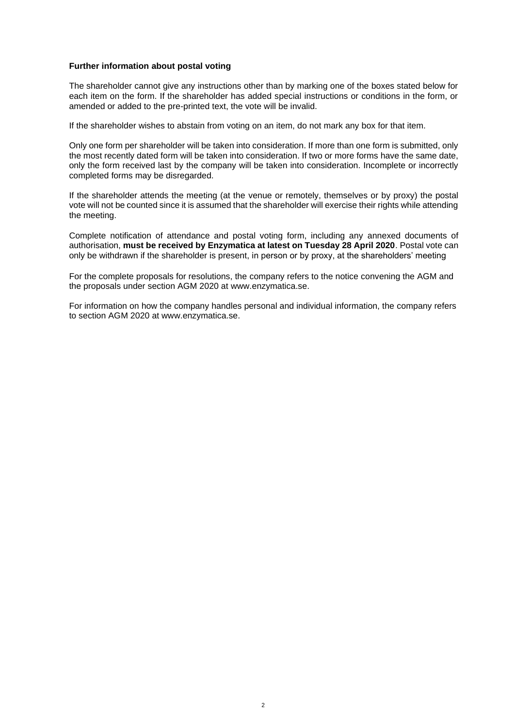## **Further information about postal voting**

The shareholder cannot give any instructions other than by marking one of the boxes stated below for each item on the form. If the shareholder has added special instructions or conditions in the form, or amended or added to the pre-printed text, the vote will be invalid.

If the shareholder wishes to abstain from voting on an item, do not mark any box for that item.

Only one form per shareholder will be taken into consideration. If more than one form is submitted, only the most recently dated form will be taken into consideration. If two or more forms have the same date, only the form received last by the company will be taken into consideration. Incomplete or incorrectly completed forms may be disregarded.

If the shareholder attends the meeting (at the venue or remotely, themselves or by proxy) the postal vote will not be counted since it is assumed that the shareholder will exercise their rights while attending the meeting.

Complete notification of attendance and postal voting form, including any annexed documents of authorisation, **must be received by Enzymatica at latest on Tuesday 28 April 2020**. Postal vote can only be withdrawn if the shareholder is present, in person or by proxy, at the shareholders' meeting

For the complete proposals for resolutions, the company refers to the notice convening the AGM and the proposals under section AGM 2020 at www.enzymatica.se.

For information on how the company handles personal and individual information, the company refers to section AGM 2020 at www.enzymatica.se.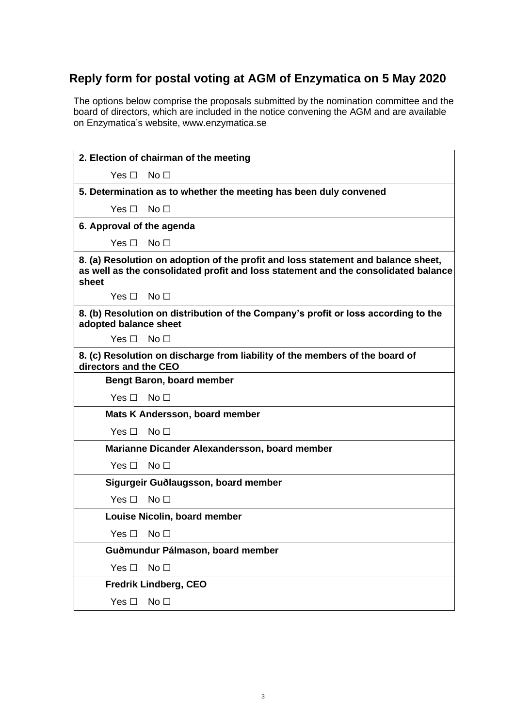## **Reply form for postal voting at AGM of Enzymatica on 5 May 2020**

The options below comprise the proposals submitted by the nomination committee and the board of directors, which are included in the notice convening the AGM and are available on Enzymatica's website, [www.enzymatica.s](http://www.ambea.se/investerare/)e

| 2. Election of chairman of the meeting                                                                                                                                           |                                               |  |
|----------------------------------------------------------------------------------------------------------------------------------------------------------------------------------|-----------------------------------------------|--|
| $Yes \Box No \Box$                                                                                                                                                               |                                               |  |
| 5. Determination as to whether the meeting has been duly convened                                                                                                                |                                               |  |
| Yes $\square$                                                                                                                                                                    | No $\Box$                                     |  |
| 6. Approval of the agenda                                                                                                                                                        |                                               |  |
| Yes $\Box$                                                                                                                                                                       | No <sub>1</sub>                               |  |
| 8. (a) Resolution on adoption of the profit and loss statement and balance sheet,<br>as well as the consolidated profit and loss statement and the consolidated balance<br>sheet |                                               |  |
| $Yes \Box No \Box$                                                                                                                                                               |                                               |  |
| 8. (b) Resolution on distribution of the Company's profit or loss according to the<br>adopted balance sheet                                                                      |                                               |  |
| $Yes \Box No \Box$                                                                                                                                                               |                                               |  |
| 8. (c) Resolution on discharge from liability of the members of the board of<br>directors and the CEO                                                                            |                                               |  |
|                                                                                                                                                                                  | <b>Bengt Baron, board member</b>              |  |
| Yes $\Box$                                                                                                                                                                       | No <sub>1</sub>                               |  |
| Mats K Andersson, board member                                                                                                                                                   |                                               |  |
| Yes $\Box$                                                                                                                                                                       | No $\Box$                                     |  |
|                                                                                                                                                                                  | Marianne Dicander Alexandersson, board member |  |
| Yes $\Box$                                                                                                                                                                       | No <sub>1</sub>                               |  |
| Sigurgeir Guðlaugsson, board member                                                                                                                                              |                                               |  |
| Yes $\Box$                                                                                                                                                                       | No <sub>1</sub>                               |  |
| Louise Nicolin, board member                                                                                                                                                     |                                               |  |
| $Yes \Box No \Box$                                                                                                                                                               |                                               |  |
| Guðmundur Pálmason, board member                                                                                                                                                 |                                               |  |
| Yes $\Box$                                                                                                                                                                       | No <sub>1</sub>                               |  |
| <b>Fredrik Lindberg, CEO</b>                                                                                                                                                     |                                               |  |
| Yes $\square$                                                                                                                                                                    | No <sub>1</sub>                               |  |